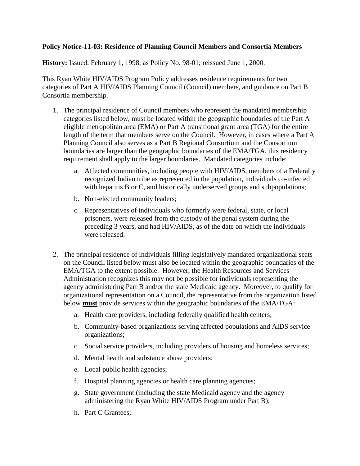## **Policy Notice-11-03: Residence of Planning Council Members and Consortia Members**

**History:** Issued: February 1, 1998, as Policy No. 98-01; reissued June 1, 2000.

This Ryan White HIV/AIDS Program Policy addresses residence requirements for two categories of Part A HIV/AIDS Planning Council (Council) members, and guidance on Part B Consortia membership.

- 1. The principal residence of Council members who represent the mandated membership categories listed below, must be located within the geographic boundaries of the Part A eligible metropolitan area (EMA) or Part A transitional grant area (TGA) for the entire length of the term that members serve on the Council. However, in cases where a Part A Planning Council also serves as a Part B Regional Consortium and the Consortium boundaries are larger than the geographic boundaries of the EMA/TGA, this residency requirement shall apply to the larger boundaries. Mandated categories include:
	- a. Affected communities, including people with HIV/AIDS*,* members of a Federally recognized Indian tribe as represented in the population, individuals co-infected with hepatitis B or C, and historically underserved groups and subpopulations;
	- b. Non-elected community leaders;
	- c. Representatives of individuals who formerly were federal, state, or local prisoners, were released from the custody of the penal system during the preceding 3 years, and had HIV/AIDS, as of the date on which the individuals were released.
- 2. The principal residence of individuals filling legislatively mandated organizational seats on the Council listed below must also be located within the geographic boundaries of the EMA/TGA to the extent possible. However, the Health Resources and Services Administration recognizes this may not be possible for individuals representing the agency administering Part B and/or the state Medicaid agency. Moreover, to qualify for organizational representation on a Council, the representative from the organization listed below **must** provide services within the geographic boundaries of the EMA/TGA:
	- a. Health care providers, including federally qualified health centers;
	- b. Community-based organizations serving affected populations and AIDS service organizations;
	- c. Social service providers, including providers of housing and homeless services;
	- d. Mental health and substance abuse providers;
	- e. Local public health agencies;
	- f. Hospital planning agencies or health care planning agencies;
	- g. State government (including the state Medicaid agency and the agency administering the Ryan White HIV/AIDS Program under Part B);
	- h. Part C Grantees;